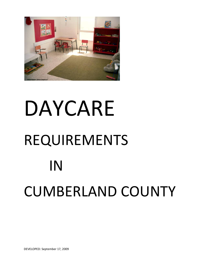

# DAYCARE REQUIREMENTS IN CUMBERLAND COUNTY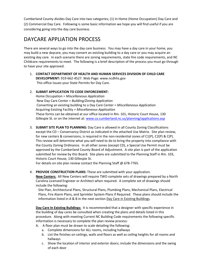Cumberland County divides Day Care into two categories; (1) In Home (Home Occupation) Day Care and (2) Commercial Day Care. Following is some basic information we hope you will find useful if you are considering going into the day care business.

# DAYCARE APPLIATION PROCESS

There are several ways to go into the day care business. You may have a day care in your home, you may build a new daycare, you may convert an existing building to a day care or you may acquire an existing day care. In each scenario there are zoning requirements, state fire code requirements, and NC Childcare requirements to meet. The following is a brief description of the process you must go through to have your site approved.

- 1. **CONTACT DEPARTMENT OF HEALTH AND HUMAN SERVICES DIVISION OF CHILD CARE DEVELOPMENT:** 919-662-4527. Web Page: www.ncdhhs.gov This office Issues your State Permits for Day Care.
- 2. **SUBMIT APPLICATION TO CODE ENFORCEMENT:**

Home Occupation = *Miscellaneous Application* New Day Care Center = *Building/Zoning Application* Converting an existing building to a Day Care Center = *Miscellaneous Application* Acquiring Existing Facility = *Miscellaneous Application* These forms can be obtained at our office located in Rm. 101, Historic Court House, 130 Gillespie St. or on the internet at: [www.co.cumberland.nc.us/planning/applications.asp](http://www.co.cumberland.nc.us/planning/applications.asp)

3. **SUBMIT SITE PLAN TO PLANNING:** Day Care is allowed in all County Zoning Classifications except the CD – Conservancy District as indicated in the attached Use Matrix. Site plan review, for new centers & conversions, is required in the non-residential zones of  $Cl(P)$ ,  $Cl(P)$  &  $Cl(P)$ . This review will determine what you will need to do to bring the property into compliance with the County Zoning Ordinance. In all other zones (except CD), a Special Use Permit must be approved by the Cumberland County Board of Adjustment. A site plan is part of the application submitted for review by this Board. Site plans are submitted to the Planning Staff in Rm. 103, Historic Court House, 130 Gillespie St.

For details on site plan review contact the Planning Staff @ 678-7765.

#### 4. **PROVIDE CONSTRUCTION PLANS:** These are submitted with your application.

**New Centers:** All New Centers will require TWO complete sets of drawings prepared by a North Carolina Licensed Engineer or Architect when required. A complete set of drawings should include the following:

 Site Plan, Architectural Plans, Structural Plans, Plumbing Plans, Mechanical Plans, Electrical Plans, Fire Alarm Plans, and Sprinkler System Plans if Required. These plans should include the information listed in A & B in the next section Day Care in Existing Buildings.

**Day Care In Existing Buildings:** It is recommended that a designer with specific experience in the building of day cares be consulted when creating the plans and details listed in this procedure. Along with meeting Current NC Building Code requirements the following specific information is necessary to complete the plan review process:

- A. A floor plan must be drawn to scale detailing the following:
	- a. Complete dimensions for ALL rooms, including hallways
	- b. List the finishes on ceilings, walls and floors as well as ceiling heights for all rooms and hallways
	- c. Show the location of interior and exterior doors; include the dimensions and the swing of each door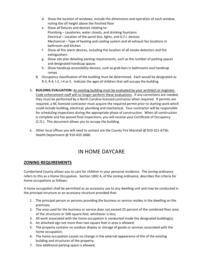- d. Show the location of windows; include the dimensions and operation of each window, noting the sill height above the finished floor
- e. Show all fixtures and devices relating to: Plumbing – Lavatories, water closets, and drinking fountains Electrical – Location of the panel box, lights, and G.F.I. devices Mechanical – Type of heating and cooling system and all exhaust fan locations in bathroom and kitchen
- f. Show all fire alarm devices, including the location of all smoke detectors and fire extinguishers
- g. Show site plan detailing parking requirements, such as the number of parking spaces and designated handicap spaces
- h. Show handicap accessibility devices, such as grab bars in bathrooms and handicap ramps
- B. Occupancy classification of the building must be determined. Each would be designated as R-3, R-4, I-2, I-4 or E. Indicate the ages of children that will occupy the building.
- 5. **BUILDING EVALUATION:** An existing building must be evaluated by your architect or engineer. Code enforcement staff will no longer perform these evaluations. If any corrections are needed, they must be performed by a North Carolina licensed contractor when required. If permits are required, a NC licensed contractor must acquire the required permit prior to starting work which could include building, electrical, plumbing and mechanical. Your contractor will be responsible for scheduling inspections during the appropriate phase of construction. When all construction is complete and has passed final inspections, you will receive your Certificate of Occupancy (C.O.). This document allows you to occupy the building.
- 6. Other local offices you will need to contact are the County Fire Marshall @ 910-321-6736; Health Department @ 910-433-3660.

## IN HOME DAYCARE

## **ZONING REQUIREMENTS**

Cumberland County allows you to care for children in your personal residence. The zoning ordinance refers to this as a Home Occupation. Section 1002 A, of the zoning ordinance, describes the criteria for home occupations as follows:

A home occupation shall be permitted as an accessory use to any dwelling unit and may be conducted in the principal structure or an accessory structure provided that:

- 1. The principal person or persons providing the business or service resides in the dwelling on the premises;
- 2. The area used for the business or service does not exceed 25 percent of the combined floor area of the structures or 500 square feet, whichever is less;
- 3. All work associated with the home occupation is conducted inside the designated building(s);
- 4. An attached sign not more than two square feet in area is allowed;
- 5. The property contains no outdoor display or storage of goods or services associated with the home occupation;
- 6. The home occupation causes no change in the external appearance of the of the existing building and structures of the property;
- 7. One additional parking space is allowed;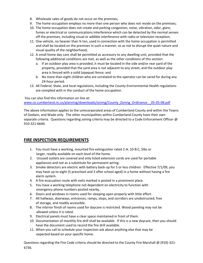- 8. Wholesale sales of goods do not occur on the premises;
- 9. The home occupation employs no more than one person who does not reside on the premises;
- 10. The home occupation does not create and parking congestion, noise, vibration, odor, glare, fumes or electrical or communications interference which can be detected by the normal senses off the premises, including visual or addible interference with radio or television reception;
- 11. One vehicle, no heavier than ¾ ton, used in connection with the home occupation is permitted and shall be located on the premises in such a manner, so as not to disrupt the quiet nature and visual quality of the neighborhood;
- 12. A small home day care shall be permitted as accessory to any dwelling unit, provided that the following additional conditions are met, as well as the other conditions of this section:
	- a. If an outdoor play area is provided, it must be located in the side and/or rear yard of the property, provided that the yard area is not adjacent to any street, and the outdoor play area is fenced with a solid (opaque) fence; and
	- b. No more than eight children who are unrelated to the operator can be cared for during any 24-hour period.
- 13. All Federal, State, and local regulations, including the County Environmental Health regulations are complied with in the conduct of the home occupation.

You can also find this information on line at: [www.co.cumberland.nc.us/planning/downloads/zoning/County\\_Zoning\\_Ordinance\\_\\_05-05-08.pdf](http://www.co.cumberland.nc.us/planning/downloads/zoning/County_Zoning_Ordinance__05-05-08.pdf)

The above information applies to the unincorporated areas of Cumberland County and within the Towns of Godwin, and Wade only. The other municipalities within Cumberland County have their own separate criteria. Questions regarding zoning criteria may be directed to a Code Enforcement Officer @ 910-321-6640.

## **FIRE INSPECTION REQUIREMENTS**

- 1. You must have a working, mounted fire extinguisher rated 2-A: 10-B:C, 5lbs or larger, readily available on each level of the home.
- 2. Unused outlets are covered and only listed extension cords are used for portable appliances and not as a substitute for permanent wiring.
- 3. Smoke detectors are electric with battery back-up for 5 or less children. Effective 7/1/09, you may have up to eight (5 preschool and 3 after school aged) in a home without having a fire alarm system.
- 4. A fire evacuation route with exits marked is posted in a prominent place.
- 5. You have a working telephone not dependent on electricity to function with emergency phone numbers posted nearby.
- 6. Doors and windows in rooms used for sleeping open properly with little effort.
- 7. All hallways, doorways, entrances, ramps, steps, and corridors are unobstructed, free of storage, and readily accessible.
- 8. The interior finish of rooms used for daycare is restricted. Wood paneling may not be allowed unless it is rated.
- 9. Electrical panels must have a clear space maintained in front of them.
- 10. Documentation of monthly fire drill shall be available. If this is a new daycare, then you should have the document used to record the fire drill available.
- 11. When you call to schedule your inspection ask about anything else that may be expected based on your specific home.

Questions regarding the Fire Code criteria should be directed to the County Fire Marshall @ (910)-321- 6736.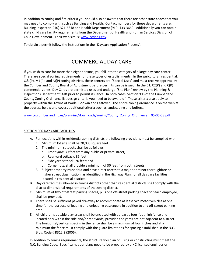In addition to zoning and fire criteria you should also be aware that there are other state codes that you may need to comply with such as Building and Health. Contact numbers for these departments are: Building Inspector (910) 321-6648 and Health Department (910) 433-3660. Additionally you can obtain state child care facility requirements from the Department of Health and Human Services Division of Child Development. Their web site is: [www.ncdhhs.gov.](http://www.ncdhhs.gov/)

To obtain a permit follow the instructions in the "Daycare Application Process".

## COMMERCIAL DAY CARE

If you wish to care for more than eight persons, you fall into the category of a large day care center. There are special zoning requirements for these types of establishments. In the agricultural, residential, O&I(P), M1(P), and M(P) zoning districts, these centers are "Special Uses" and must receive approval by the Cumberland County Board of Adjustment before permits can be issued. In the C1, C2(P) and C(P) commercial zones, Day Cares are permitted uses and undergo "Site Plan" review by the Planning & Inspections Department Staff prior to permit issuance. In both cases, Section 906 of the Cumberland County Zoning Ordinance list design criteria you need to be aware of. These criteria also apply to property within the Towns of Wade, Godwin and Eastover. The entire zoning ordinance is on the web at the address below and covers additional criteria such as landscaping and buffers.

[www.co.cumberland.nc.us/planning/downloads/zoning/County\\_Zoning\\_Ordinance\\_\\_05-05-08.pdf](http://www.co.cumberland.nc.us/planning/downloads/zoning/County_Zoning_Ordinance__05-05-08.pdf)

#### SECTION 906 DAY CARE FACILITIES

- A. For locations within residential zoning districts the following provisions must be complied with:
	- 1. Minimum lot size shall be 20,000 square feet.
	- 2. The minimum setbacks shall be as follows:
		- a. Front yard: 30 feet from any public or private street;
		- b. Rear yard setback: 35 feet;
		- c. Side yard setback: 20 feet; and
		- d. Corner lots: shall provide a minimum of 30 feet from both streets.
	- 3. Subject property must abut and have direct access to a major or minor thoroughfare or higher street classification, as identified in the Highway Plan, for all day care facilities located in residential districts.
- B. Day care facilities allowed in zoning districts other than residential districts shall comply with the district dimensional requirements of the zoning district.
- C. Minimum of two off-street parking spaces, plus one off-street parking space for each employee, shall be provided.
- D. There shall be sufficient paved driveway to accommodate at least two motor vehicles at one time for the purpose of loading and unloading passengers in addition to any off-street parking area.
- E. All children's outside play areas shall be enclosed with at least a four-foot high fence and located only within the side and/or rear yards, provided the yards are not adjacent to a street. The horizontal/vertical spacing in the fence shall be a maximum of four inches and at a minimum the fence must comply with the guard limitations for spacing established in the N.C. Bldg. Code § R312.2 (2006).

In addition to zoning requirements, the structure you plan on using or constructing must meet the N.C. Building Code. Specifically, your plans need to be prepared by a NC licensed engineer or